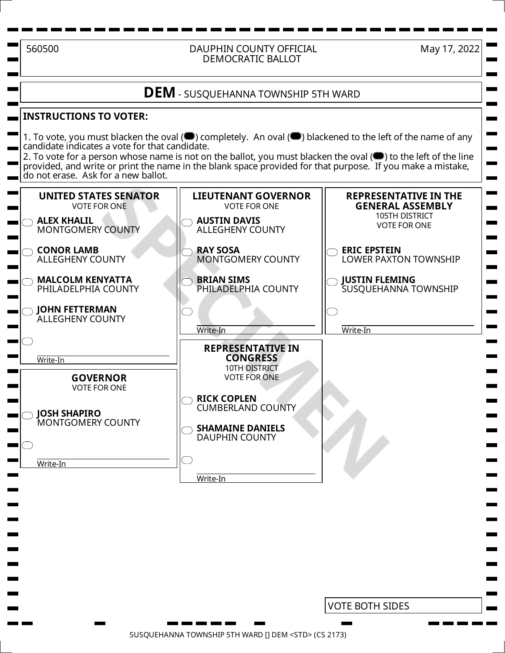## 560500 DAUPHIN COUNTY OFFICIAL DEMOCRATIC BALLOT

## **DEM** - SUSQUEHANNA TOWNSHIP 5TH WARD

## **INSTRUCTIONS TO VOTER:**

1. To vote, you must blacken the oval ( $\blacksquare$ ) completely. An oval ( $\blacksquare$ ) blackened to the left of the name of any candidate indicates a vote for that candidate.

2. To vote for a person whose name is not on the ballot, you must blacken the oval  $($ **)** to the left of the line provided, and write or print the name in the blank space provided for that purpose. If you make a mistake, do not erase. Ask for a new ballot.